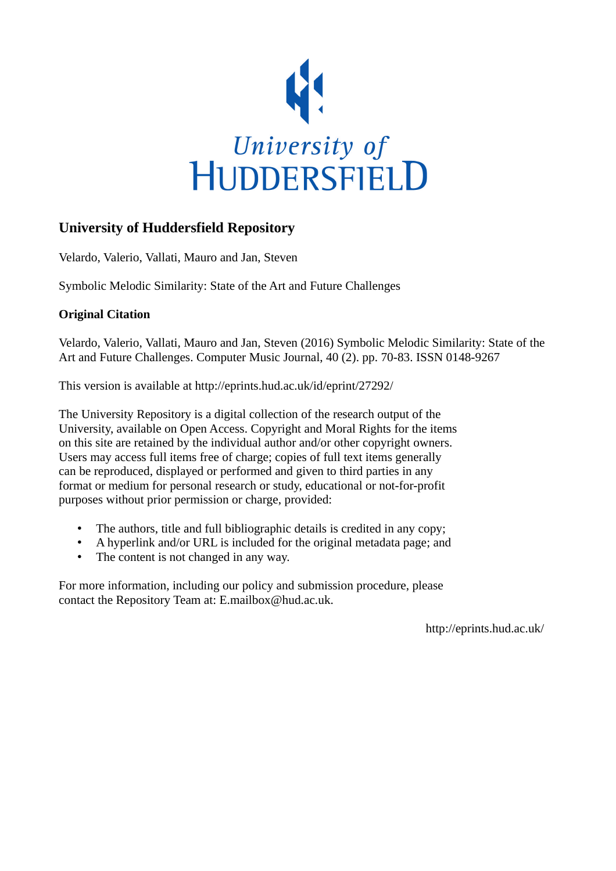

### **University of Huddersfield Repository**

Velardo, Valerio, Vallati, Mauro and Jan, Steven

Symbolic Melodic Similarity: State of the Art and Future Challenges

#### **Original Citation**

Velardo, Valerio, Vallati, Mauro and Jan, Steven (2016) Symbolic Melodic Similarity: State of the Art and Future Challenges. Computer Music Journal, 40 (2). pp. 70-83. ISSN 0148-9267

This version is available at http://eprints.hud.ac.uk/id/eprint/27292/

The University Repository is a digital collection of the research output of the University, available on Open Access. Copyright and Moral Rights for the items on this site are retained by the individual author and/or other copyright owners. Users may access full items free of charge; copies of full text items generally can be reproduced, displayed or performed and given to third parties in any format or medium for personal research or study, educational or not-for-profit purposes without prior permission or charge, provided:

- The authors, title and full bibliographic details is credited in any copy;
- A hyperlink and/or URL is included for the original metadata page; and
- The content is not changed in any way.

For more information, including our policy and submission procedure, please contact the Repository Team at: E.mailbox@hud.ac.uk.

http://eprints.hud.ac.uk/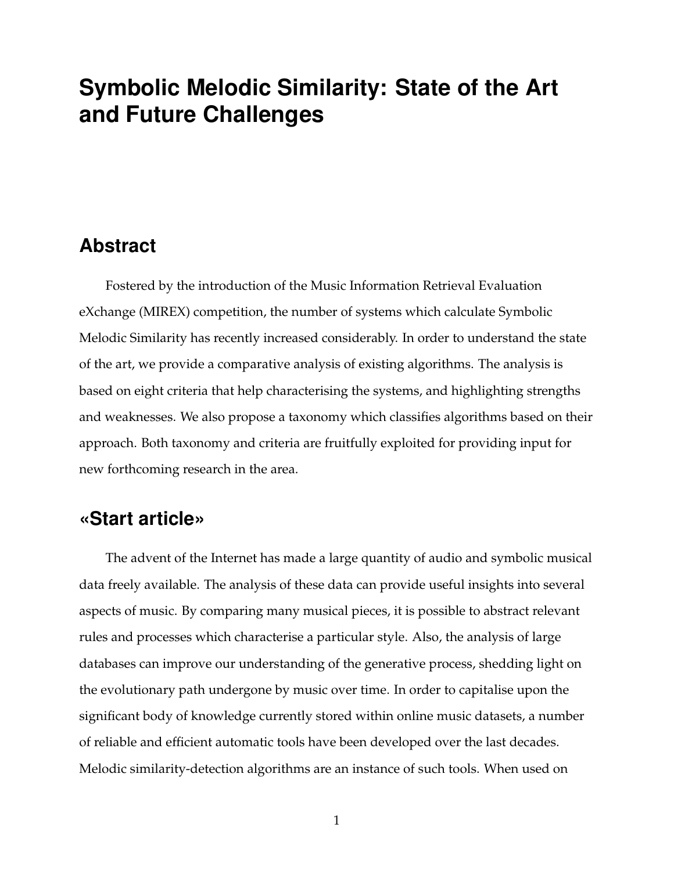# **Symbolic Melodic Similarity: State of the Art and Future Challenges**

### **Abstract**

Fostered by the introduction of the Music Information Retrieval Evaluation eXchange (MIREX) competition, the number of systems which calculate Symbolic Melodic Similarity has recently increased considerably. In order to understand the state of the art, we provide a comparative analysis of existing algorithms. The analysis is based on eight criteria that help characterising the systems, and highlighting strengths and weaknesses. We also propose a taxonomy which classifies algorithms based on their approach. Both taxonomy and criteria are fruitfully exploited for providing input for new forthcoming research in the area.

### **«Start article»**

The advent of the Internet has made a large quantity of audio and symbolic musical data freely available. The analysis of these data can provide useful insights into several aspects of music. By comparing many musical pieces, it is possible to abstract relevant rules and processes which characterise a particular style. Also, the analysis of large databases can improve our understanding of the generative process, shedding light on the evolutionary path undergone by music over time. In order to capitalise upon the significant body of knowledge currently stored within online music datasets, a number of reliable and efficient automatic tools have been developed over the last decades. Melodic similarity-detection algorithms are an instance of such tools. When used on

<sup>1</sup>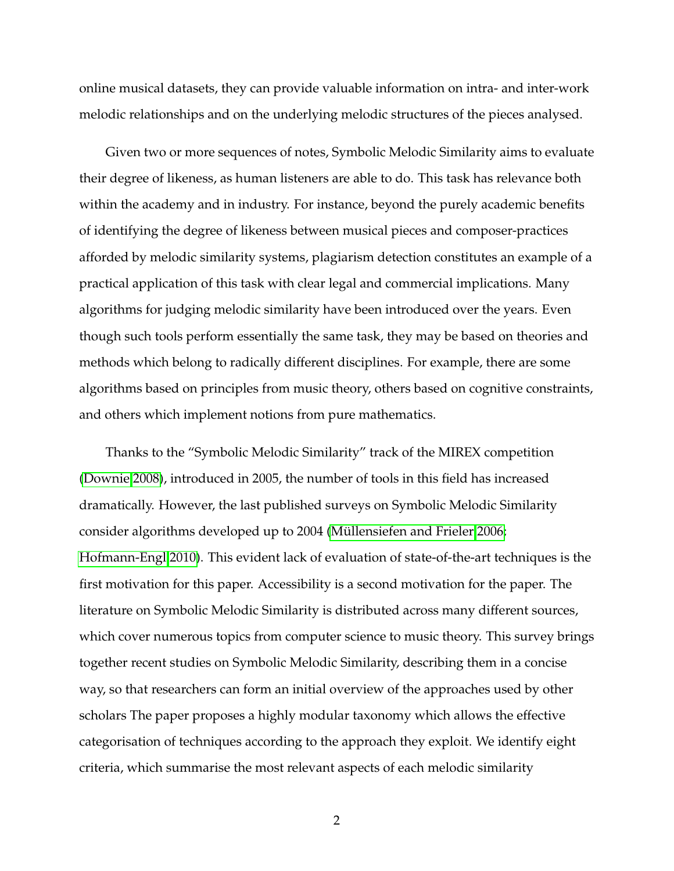online musical datasets, they can provide valuable information on intra- and inter-work melodic relationships and on the underlying melodic structures of the pieces analysed.

Given two or more sequences of notes, Symbolic Melodic Similarity aims to evaluate their degree of likeness, as human listeners are able to do. This task has relevance both within the academy and in industry. For instance, beyond the purely academic benefits of identifying the degree of likeness between musical pieces and composer-practices afforded by melodic similarity systems, plagiarism detection constitutes an example of a practical application of this task with clear legal and commercial implications. Many algorithms for judging melodic similarity have been introduced over the years. Even though such tools perform essentially the same task, they may be based on theories and methods which belong to radically different disciplines. For example, there are some algorithms based on principles from music theory, others based on cognitive constraints, and others which implement notions from pure mathematics.

Thanks to the "Symbolic Melodic Similarity" track of the MIREX competition [\(Downie 2008\)](#page-23-0), introduced in 2005, the number of tools in this field has increased dramatically. However, the last published surveys on Symbolic Melodic Similarity consider algorithms developed up to 2004 [\(Müllensiefen and Frieler 2006;](#page-24-0) [Hofmann-Engl 2010\)](#page-23-1). This evident lack of evaluation of state-of-the-art techniques is the first motivation for this paper. Accessibility is a second motivation for the paper. The literature on Symbolic Melodic Similarity is distributed across many different sources, which cover numerous topics from computer science to music theory. This survey brings together recent studies on Symbolic Melodic Similarity, describing them in a concise way, so that researchers can form an initial overview of the approaches used by other scholars The paper proposes a highly modular taxonomy which allows the effective categorisation of techniques according to the approach they exploit. We identify eight criteria, which summarise the most relevant aspects of each melodic similarity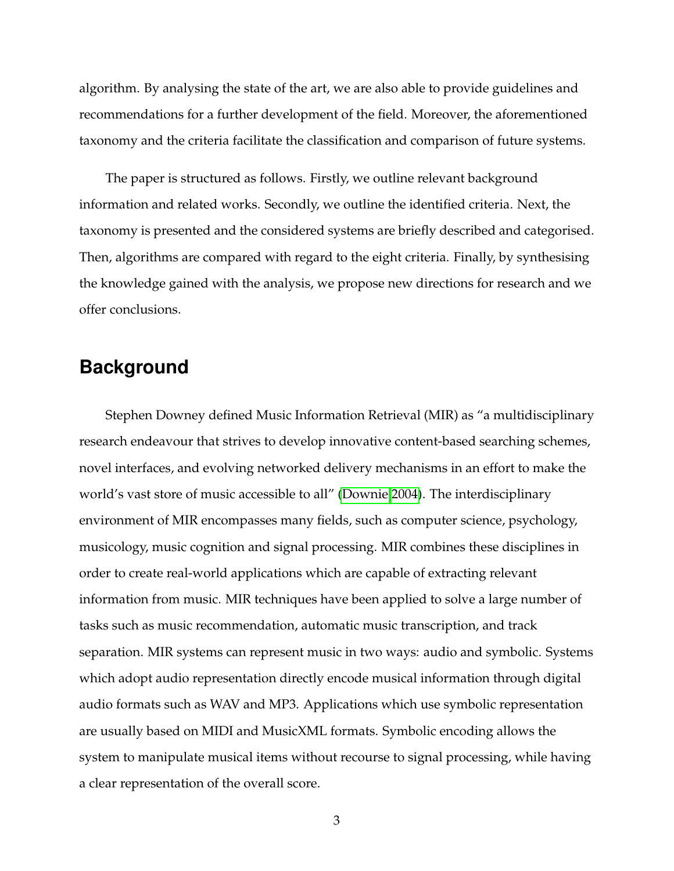algorithm. By analysing the state of the art, we are also able to provide guidelines and recommendations for a further development of the field. Moreover, the aforementioned taxonomy and the criteria facilitate the classification and comparison of future systems.

The paper is structured as follows. Firstly, we outline relevant background information and related works. Secondly, we outline the identified criteria. Next, the taxonomy is presented and the considered systems are briefly described and categorised. Then, algorithms are compared with regard to the eight criteria. Finally, by synthesising the knowledge gained with the analysis, we propose new directions for research and we offer conclusions.

## **Background**

Stephen Downey defined Music Information Retrieval (MIR) as "a multidisciplinary research endeavour that strives to develop innovative content-based searching schemes, novel interfaces, and evolving networked delivery mechanisms in an effort to make the world's vast store of music accessible to all" [\(Downie 2004\)](#page-23-2). The interdisciplinary environment of MIR encompasses many fields, such as computer science, psychology, musicology, music cognition and signal processing. MIR combines these disciplines in order to create real-world applications which are capable of extracting relevant information from music. MIR techniques have been applied to solve a large number of tasks such as music recommendation, automatic music transcription, and track separation. MIR systems can represent music in two ways: audio and symbolic. Systems which adopt audio representation directly encode musical information through digital audio formats such as WAV and MP3. Applications which use symbolic representation are usually based on MIDI and MusicXML formats. Symbolic encoding allows the system to manipulate musical items without recourse to signal processing, while having a clear representation of the overall score.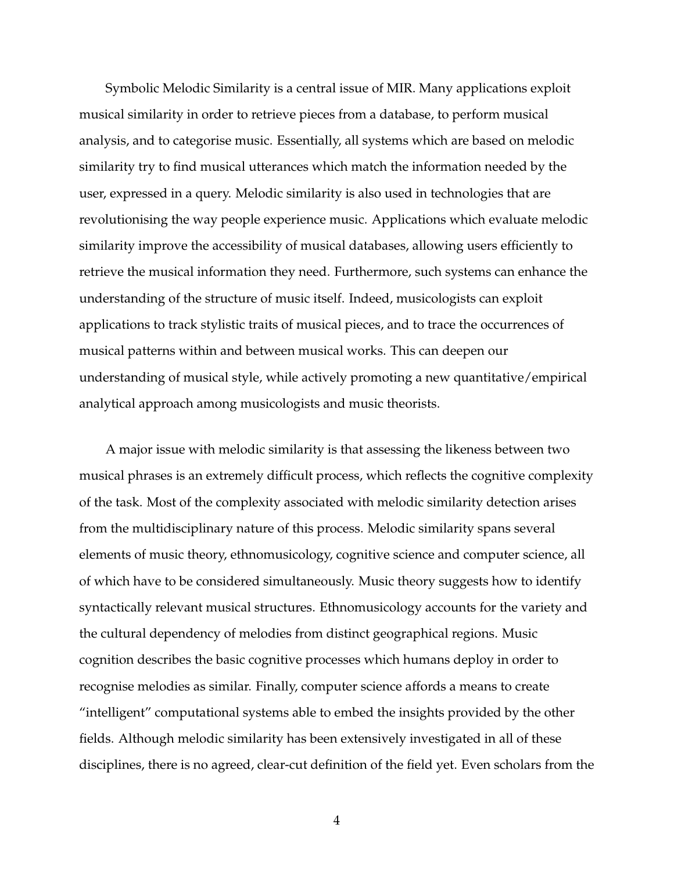Symbolic Melodic Similarity is a central issue of MIR. Many applications exploit musical similarity in order to retrieve pieces from a database, to perform musical analysis, and to categorise music. Essentially, all systems which are based on melodic similarity try to find musical utterances which match the information needed by the user, expressed in a query. Melodic similarity is also used in technologies that are revolutionising the way people experience music. Applications which evaluate melodic similarity improve the accessibility of musical databases, allowing users efficiently to retrieve the musical information they need. Furthermore, such systems can enhance the understanding of the structure of music itself. Indeed, musicologists can exploit applications to track stylistic traits of musical pieces, and to trace the occurrences of musical patterns within and between musical works. This can deepen our understanding of musical style, while actively promoting a new quantitative/empirical analytical approach among musicologists and music theorists.

A major issue with melodic similarity is that assessing the likeness between two musical phrases is an extremely difficult process, which reflects the cognitive complexity of the task. Most of the complexity associated with melodic similarity detection arises from the multidisciplinary nature of this process. Melodic similarity spans several elements of music theory, ethnomusicology, cognitive science and computer science, all of which have to be considered simultaneously. Music theory suggests how to identify syntactically relevant musical structures. Ethnomusicology accounts for the variety and the cultural dependency of melodies from distinct geographical regions. Music cognition describes the basic cognitive processes which humans deploy in order to recognise melodies as similar. Finally, computer science affords a means to create "intelligent" computational systems able to embed the insights provided by the other fields. Although melodic similarity has been extensively investigated in all of these disciplines, there is no agreed, clear-cut definition of the field yet. Even scholars from the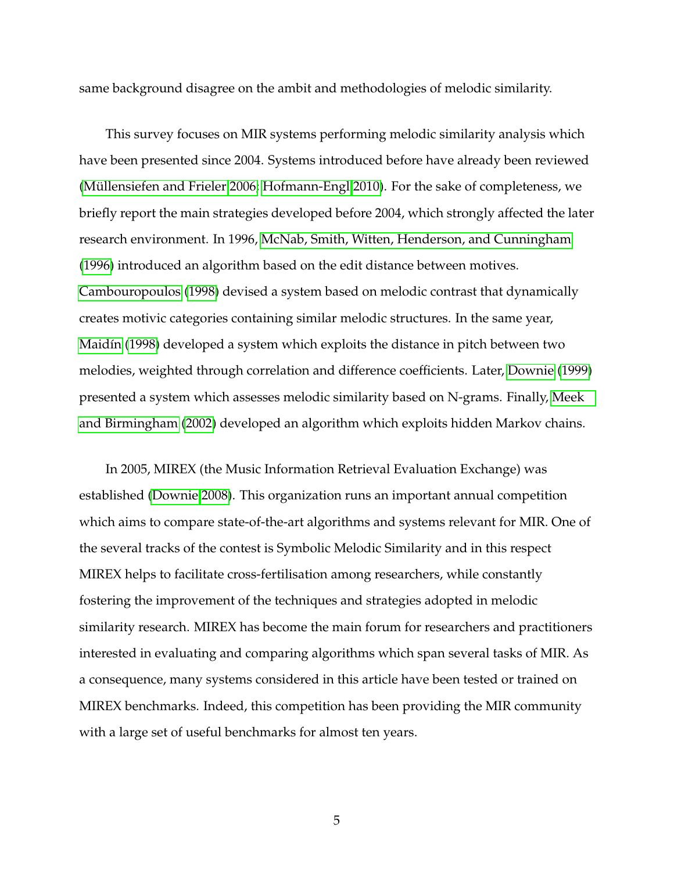same background disagree on the ambit and methodologies of melodic similarity.

This survey focuses on MIR systems performing melodic similarity analysis which have been presented since 2004. Systems introduced before have already been reviewed [\(Müllensiefen and Frieler 2006;](#page-24-0) [Hofmann-Engl 2010\)](#page-23-1). For the sake of completeness, we briefly report the main strategies developed before 2004, which strongly affected the later research environment. In 1996, [McNab, Smith, Witten, Henderson, and Cunningham](#page-24-1) [\(1996\)](#page-24-1) introduced an algorithm based on the edit distance between motives. [Cambouropoulos](#page-22-0) [\(1998\)](#page-22-0) devised a system based on melodic contrast that dynamically creates motivic categories containing similar melodic structures. In the same year, [Maidín](#page-24-2) [\(1998\)](#page-24-2) developed a system which exploits the distance in pitch between two melodies, weighted through correlation and difference coefficients. Later, [Downie](#page-23-3) [\(1999\)](#page-23-3) presented a system which assesses melodic similarity based on N-grams. Finally, [Meek](#page-24-3) [and Birmingham](#page-24-3) [\(2002\)](#page-24-3) developed an algorithm which exploits hidden Markov chains.

In 2005, MIREX (the Music Information Retrieval Evaluation Exchange) was established [\(Downie 2008\)](#page-23-0). This organization runs an important annual competition which aims to compare state-of-the-art algorithms and systems relevant for MIR. One of the several tracks of the contest is Symbolic Melodic Similarity and in this respect MIREX helps to facilitate cross-fertilisation among researchers, while constantly fostering the improvement of the techniques and strategies adopted in melodic similarity research. MIREX has become the main forum for researchers and practitioners interested in evaluating and comparing algorithms which span several tasks of MIR. As a consequence, many systems considered in this article have been tested or trained on MIREX benchmarks. Indeed, this competition has been providing the MIR community with a large set of useful benchmarks for almost ten years.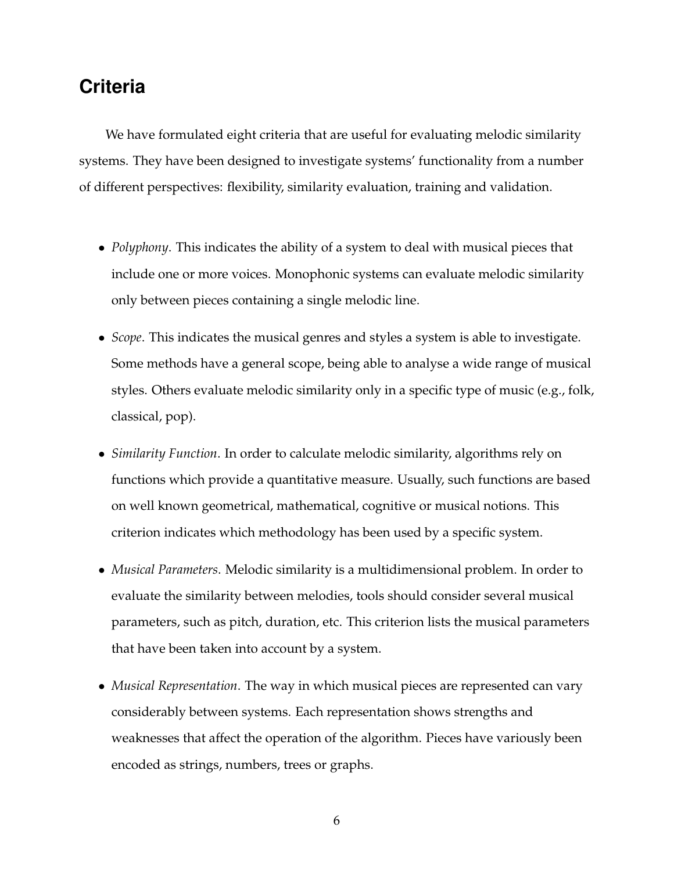# **Criteria**

We have formulated eight criteria that are useful for evaluating melodic similarity systems. They have been designed to investigate systems' functionality from a number of different perspectives: flexibility, similarity evaluation, training and validation.

- *Polyphony*. This indicates the ability of a system to deal with musical pieces that include one or more voices. Monophonic systems can evaluate melodic similarity only between pieces containing a single melodic line.
- *Scope*. This indicates the musical genres and styles a system is able to investigate. Some methods have a general scope, being able to analyse a wide range of musical styles. Others evaluate melodic similarity only in a specific type of music (e.g., folk, classical, pop).
- *Similarity Function*. In order to calculate melodic similarity, algorithms rely on functions which provide a quantitative measure. Usually, such functions are based on well known geometrical, mathematical, cognitive or musical notions. This criterion indicates which methodology has been used by a specific system.
- *Musical Parameters*. Melodic similarity is a multidimensional problem. In order to evaluate the similarity between melodies, tools should consider several musical parameters, such as pitch, duration, etc. This criterion lists the musical parameters that have been taken into account by a system.
- *Musical Representation*. The way in which musical pieces are represented can vary considerably between systems. Each representation shows strengths and weaknesses that affect the operation of the algorithm. Pieces have variously been encoded as strings, numbers, trees or graphs.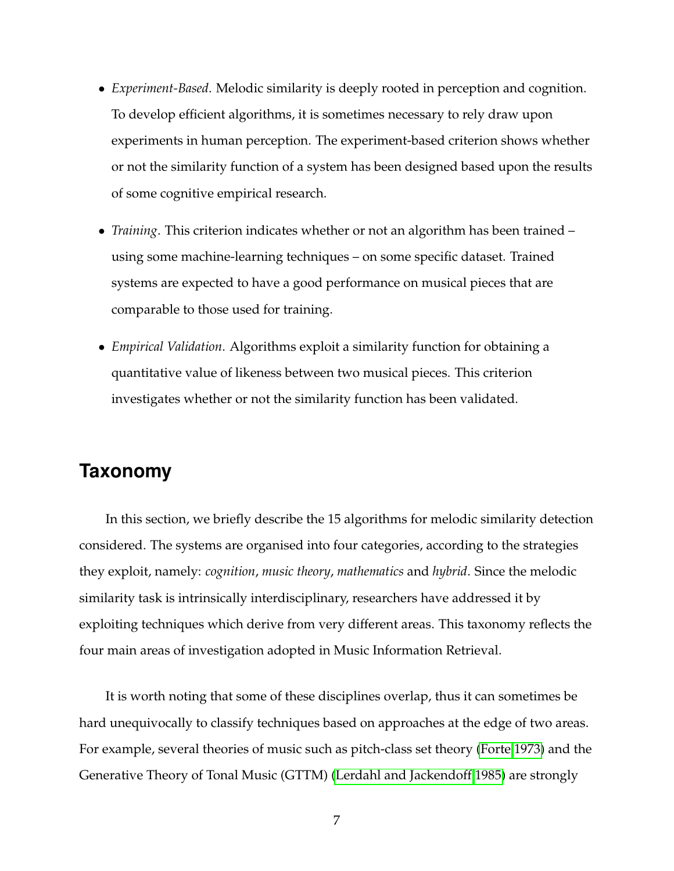- *Experiment-Based*. Melodic similarity is deeply rooted in perception and cognition. To develop efficient algorithms, it is sometimes necessary to rely draw upon experiments in human perception. The experiment-based criterion shows whether or not the similarity function of a system has been designed based upon the results of some cognitive empirical research.
- *Training*. This criterion indicates whether or not an algorithm has been trained using some machine-learning techniques – on some specific dataset. Trained systems are expected to have a good performance on musical pieces that are comparable to those used for training.
- *Empirical Validation*. Algorithms exploit a similarity function for obtaining a quantitative value of likeness between two musical pieces. This criterion investigates whether or not the similarity function has been validated.

# **Taxonomy**

In this section, we briefly describe the 15 algorithms for melodic similarity detection considered. The systems are organised into four categories, according to the strategies they exploit, namely: *cognition*, *music theory*, *mathematics* and *hybrid*. Since the melodic similarity task is intrinsically interdisciplinary, researchers have addressed it by exploiting techniques which derive from very different areas. This taxonomy reflects the four main areas of investigation adopted in Music Information Retrieval.

It is worth noting that some of these disciplines overlap, thus it can sometimes be hard unequivocally to classify techniques based on approaches at the edge of two areas. For example, several theories of music such as pitch-class set theory [\(Forte 1973\)](#page-23-4) and the Generative Theory of Tonal Music (GTTM) [\(Lerdahl and Jackendoff 1985\)](#page-24-4) are strongly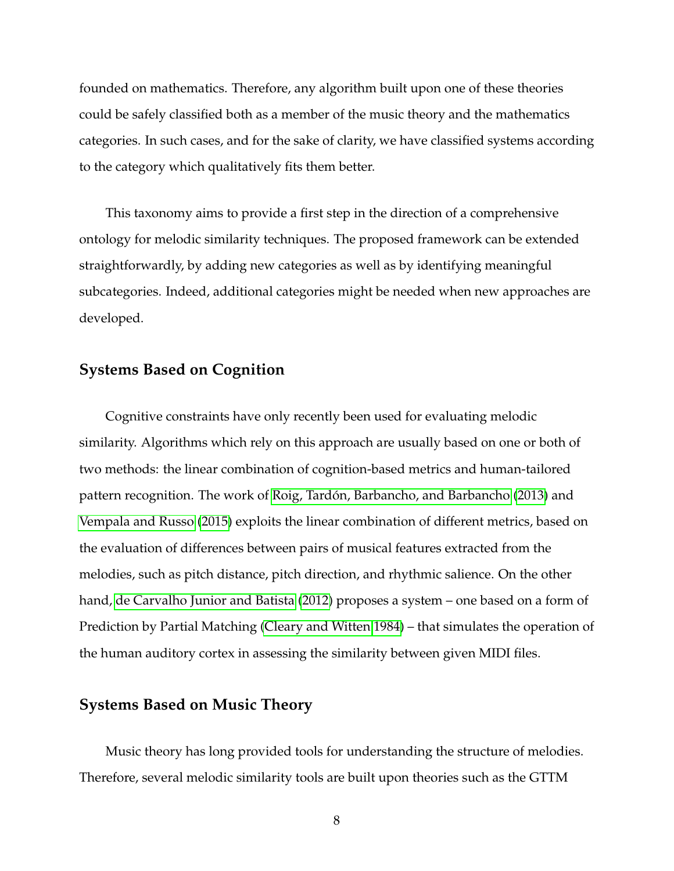founded on mathematics. Therefore, any algorithm built upon one of these theories could be safely classified both as a member of the music theory and the mathematics categories. In such cases, and for the sake of clarity, we have classified systems according to the category which qualitatively fits them better.

This taxonomy aims to provide a first step in the direction of a comprehensive ontology for melodic similarity techniques. The proposed framework can be extended straightforwardly, by adding new categories as well as by identifying meaningful subcategories. Indeed, additional categories might be needed when new approaches are developed.

#### **Systems Based on Cognition**

Cognitive constraints have only recently been used for evaluating melodic similarity. Algorithms which rely on this approach are usually based on one or both of two methods: the linear combination of cognition-based metrics and human-tailored pattern recognition. The work of [Roig, Tardón, Barbancho, and Barbancho](#page-24-5) [\(2013\)](#page-24-5) and [Vempala and Russo](#page-25-0) [\(2015\)](#page-25-0) exploits the linear combination of different metrics, based on the evaluation of differences between pairs of musical features extracted from the melodies, such as pitch distance, pitch direction, and rhythmic salience. On the other hand, [de Carvalho Junior and Batista](#page-22-1) [\(2012\)](#page-22-1) proposes a system – one based on a form of Prediction by Partial Matching [\(Cleary and Witten 1984\)](#page-22-2) – that simulates the operation of the human auditory cortex in assessing the similarity between given MIDI files.

#### **Systems Based on Music Theory**

Music theory has long provided tools for understanding the structure of melodies. Therefore, several melodic similarity tools are built upon theories such as the GTTM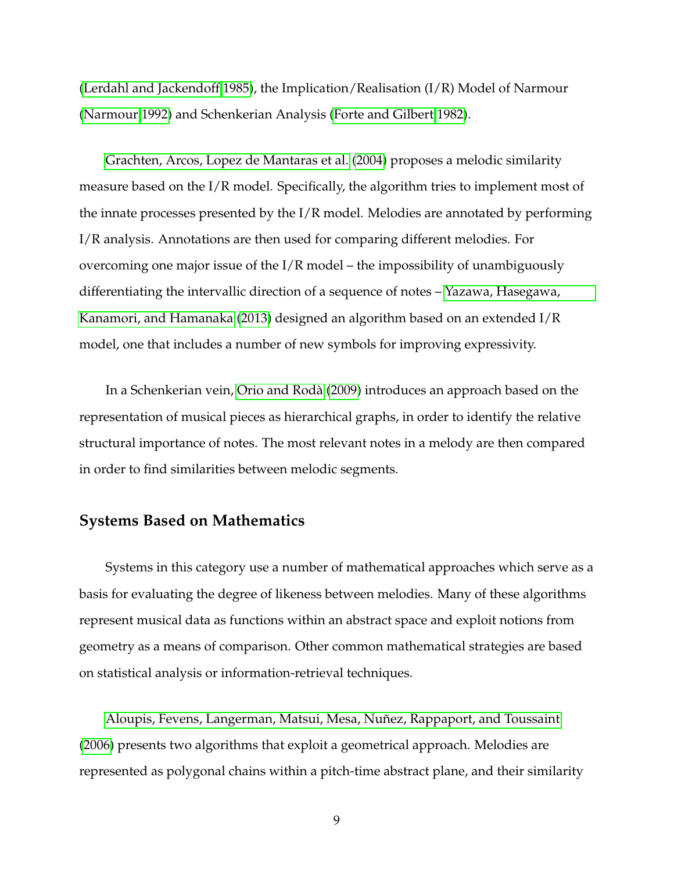[\(Lerdahl and Jackendoff 1985\)](#page-24-4), the Implication/Realisation (I/R) Model of Narmour [\(Narmour 1992\)](#page-24-6) and Schenkerian Analysis [\(Forte and Gilbert 1982\)](#page-23-5).

[Grachten, Arcos, Lopez de Mantaras et al.](#page-23-6) [\(2004\)](#page-23-6) proposes a melodic similarity measure based on the I/R model. Specifically, the algorithm tries to implement most of the innate processes presented by the I/R model. Melodies are annotated by performing I/R analysis. Annotations are then used for comparing different melodies. For overcoming one major issue of the I/R model – the impossibility of unambiguously differentiating the intervallic direction of a sequence of notes – [Yazawa, Hasegawa,](#page-25-1) [Kanamori, and Hamanaka](#page-25-1) [\(2013\)](#page-25-1) designed an algorithm based on an extended I/R model, one that includes a number of new symbols for improving expressivity.

In a Schenkerian vein, [Orio and Rodà](#page-24-7) [\(2009\)](#page-24-7) introduces an approach based on the representation of musical pieces as hierarchical graphs, in order to identify the relative structural importance of notes. The most relevant notes in a melody are then compared in order to find similarities between melodic segments.

#### **Systems Based on Mathematics**

Systems in this category use a number of mathematical approaches which serve as a basis for evaluating the degree of likeness between melodies. Many of these algorithms represent musical data as functions within an abstract space and exploit notions from geometry as a means of comparison. Other common mathematical strategies are based on statistical analysis or information-retrieval techniques.

[Aloupis, Fevens, Langerman, Matsui, Mesa, Nuñez, Rappaport, and Toussaint](#page-22-3) [\(2006\)](#page-22-3) presents two algorithms that exploit a geometrical approach. Melodies are represented as polygonal chains within a pitch-time abstract plane, and their similarity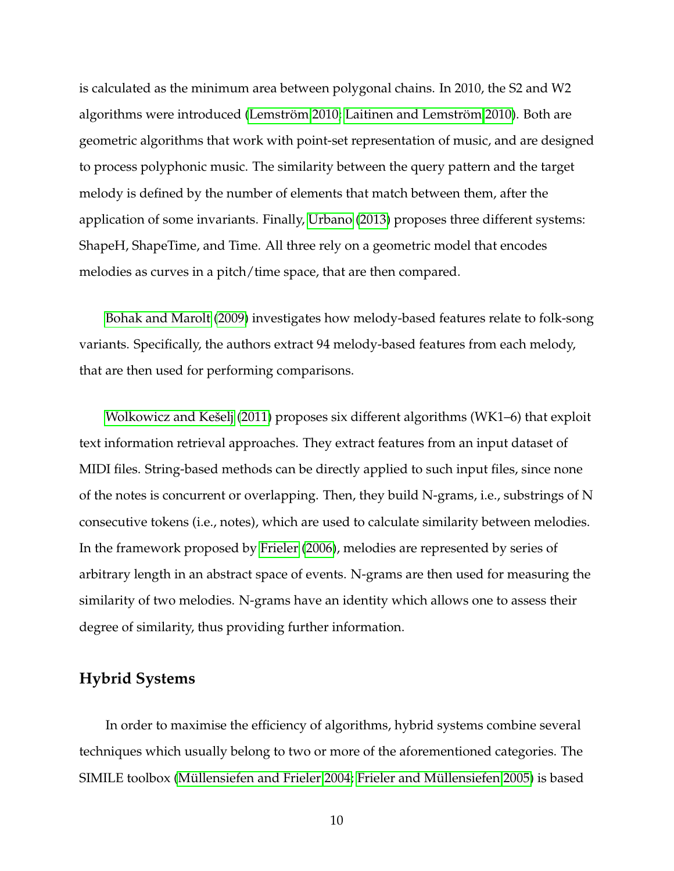is calculated as the minimum area between polygonal chains. In 2010, the S2 and W2 algorithms were introduced [\(Lemström 2010;](#page-23-7) [Laitinen and Lemström 2010\)](#page-23-8). Both are geometric algorithms that work with point-set representation of music, and are designed to process polyphonic music. The similarity between the query pattern and the target melody is defined by the number of elements that match between them, after the application of some invariants. Finally, [Urbano](#page-25-2) [\(2013\)](#page-25-2) proposes three different systems: ShapeH, ShapeTime, and Time. All three rely on a geometric model that encodes melodies as curves in a pitch/time space, that are then compared.

[Bohak and Marolt](#page-22-4) [\(2009\)](#page-22-4) investigates how melody-based features relate to folk-song variants. Specifically, the authors extract 94 melody-based features from each melody, that are then used for performing comparisons.

[Wolkowicz and Kešelj](#page-25-3) [\(2011\)](#page-25-3) proposes six different algorithms (WK1–6) that exploit text information retrieval approaches. They extract features from an input dataset of MIDI files. String-based methods can be directly applied to such input files, since none of the notes is concurrent or overlapping. Then, they build N-grams, i.e., substrings of N consecutive tokens (i.e., notes), which are used to calculate similarity between melodies. In the framework proposed by [Frieler](#page-23-9) [\(2006\)](#page-23-9), melodies are represented by series of arbitrary length in an abstract space of events. N-grams are then used for measuring the similarity of two melodies. N-grams have an identity which allows one to assess their degree of similarity, thus providing further information.

#### **Hybrid Systems**

In order to maximise the efficiency of algorithms, hybrid systems combine several techniques which usually belong to two or more of the aforementioned categories. The SIMILE toolbox [\(Müllensiefen and Frieler 2004;](#page-24-8) [Frieler and Müllensiefen 2005\)](#page-23-10) is based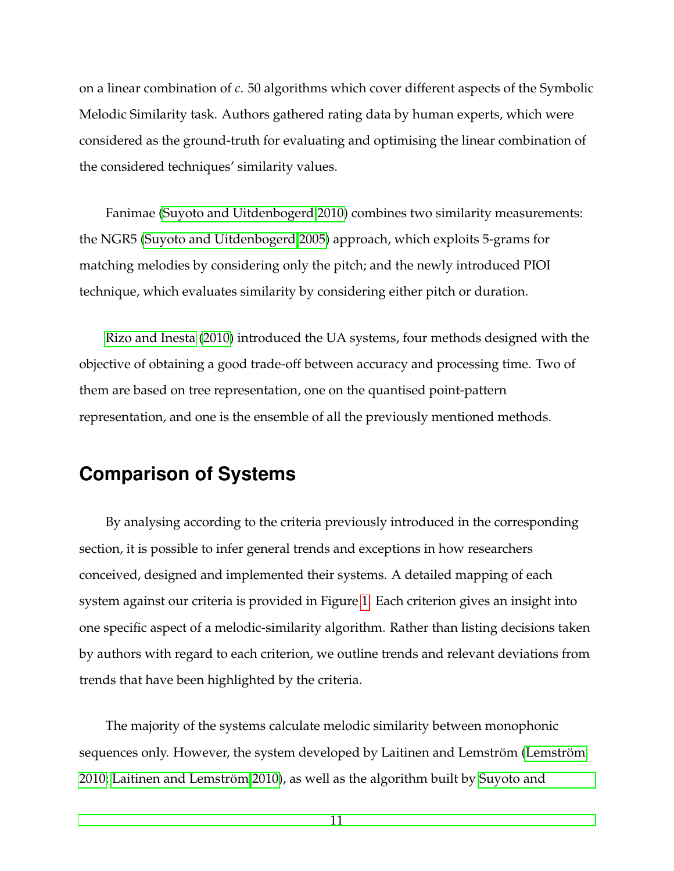on a linear combination of *c*. 50 algorithms which cover different aspects of the Symbolic Melodic Similarity task. Authors gathered rating data by human experts, which were considered as the ground-truth for evaluating and optimising the linear combination of the considered techniques' similarity values.

Fanimae [\(Suyoto and Uitdenbogerd 2010\)](#page-25-4) combines two similarity measurements: the NGR5 [\(Suyoto and Uitdenbogerd 2005\)](#page-25-5) approach, which exploits 5-grams for matching melodies by considering only the pitch; and the newly introduced PIOI technique, which evaluates similarity by considering either pitch or duration.

[Rizo and Inesta](#page-24-9) [\(2010\)](#page-24-9) introduced the UA systems, four methods designed with the objective of obtaining a good trade-off between accuracy and processing time. Two of them are based on tree representation, one on the quantised point-pattern representation, and one is the ensemble of all the previously mentioned methods.

## **Comparison of Systems**

By analysing according to the criteria previously introduced in the corresponding section, it is possible to infer general trends and exceptions in how researchers conceived, designed and implemented their systems. A detailed mapping of each system against our criteria is provided in Figure [1.](#page-12-0) Each criterion gives an insight into one specific aspect of a melodic-similarity algorithm. Rather than listing decisions taken by authors with regard to each criterion, we outline trends and relevant deviations from trends that have been highlighted by the criteria.

The majority of the systems calculate melodic similarity between monophonic sequences only. However, the system developed by Laitinen and Lemström [\(Lemström](#page-23-7) [2010;](#page-23-7) [Laitinen and Lemström 2010\)](#page-23-8), as well as the algorithm built by [Suyoto and](#page-25-4)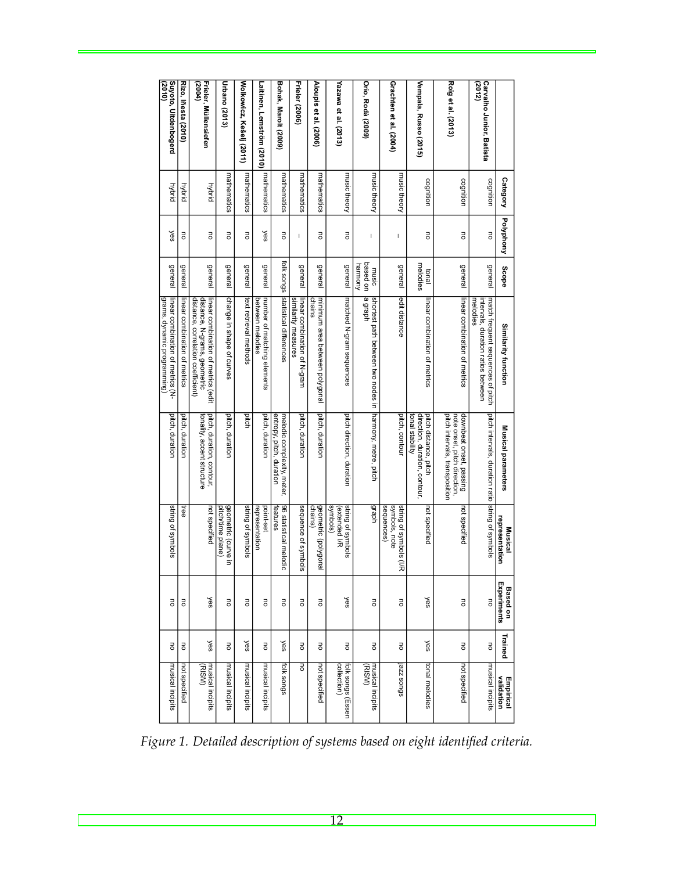<span id="page-12-0"></span>

| (2010)                                                           |                              | (2004)                                                                                                    | Urbano (2013)                              |                          |                                                 |                                                        | Frieler (2006)                                     |                                          |                                                |                                               |                                                       |                                                                           |                                                                                           | (2012)                                                                             |                                  |
|------------------------------------------------------------------|------------------------------|-----------------------------------------------------------------------------------------------------------|--------------------------------------------|--------------------------|-------------------------------------------------|--------------------------------------------------------|----------------------------------------------------|------------------------------------------|------------------------------------------------|-----------------------------------------------|-------------------------------------------------------|---------------------------------------------------------------------------|-------------------------------------------------------------------------------------------|------------------------------------------------------------------------------------|----------------------------------|
| Suyoto, Uitdenbogerd                                             | <b>Rizo, lñesta (2010)</b>   | Frieler, Müllensiefen                                                                                     |                                            | Wolkowicz, Kešelj (2011) | Laitinen, Lemström (2010)                       | Bohak, Marolt (2009)                                   |                                                    | Aloupis et al. (2006)                    | Yazawa et al. (2013)                           | <b>Orio, Rodà (2009)</b>                      | Grachten et al. (2004)                                | Vempala, Russo (2015)                                                     | Roig et al. (2013)                                                                        | <b>Carvalho Junior, Batista</b>                                                    |                                  |
| hybrid                                                           | hybrid                       | hybrid                                                                                                    | mathematics                                | mathematics              | mathematics                                     | mathematics                                            | mathematics                                        | mathematics                              | music theory                                   | music theory                                  | music theory                                          | cognition                                                                 | cognition                                                                                 | cognition                                                                          | Category                         |
| yes                                                              | ᇹ                            | ᇹ                                                                                                         | ō                                          | ō                        | yes                                             | 5                                                      | ı                                                  | ō                                        | ā                                              | I                                             | I                                                     | ᇹ                                                                         | ō                                                                                         | ō                                                                                  | Polyphony                        |
| general                                                          | general                      | general                                                                                                   | general                                    | general                  | <b>General</b>                                  |                                                        | <b>General</b>                                     | <b>General</b>                           | <b>General</b>                                 | based on<br>harmony<br>music                  | general                                               | melodies<br>lend                                                          | <b>General</b>                                                                            | <b>General</b>                                                                     | <b>Scope</b>                     |
| grams, dynamic programming)<br>linear combination of metrics (N- | Inear combination of metrics | distance, correlation coefficient)<br>distance, N-grams, geometric<br>linear combination of metrics (edit | change in shape of curves                  | text retrieval methods   | number of matching elements<br>between melodies | folk songs statistical differences                     | sumlarity measures<br>linear combination of N-gram | minimum area between polygonal<br>chains | matched N-gram sequences                       | a graph<br>shortest path between two nodes in | edit distance                                         | inear combination of metrics                                              | linear combination of metrics                                                             | match frequent sequences of pitch<br>melodies<br>ntervals, duration ratios between | Similarity function              |
| pitch, duration                                                  | pitch, duration              | pitch, duration, contour,<br>tonality, accent structure                                                   | pitch, duration                            | pitch                    | pitch, duration                                 | entropy, pitch, duration<br>melodic complexity, meter, | pitch, duration                                    | pitch, duration                          | pitch direction, duration                      | harmony, metre, pitch                         | pitch, contour                                        | direction, duration, contour,<br>pitch distance, pitch<br>tonal stability | pitch intervals, transposition<br>downbeat onset, passing<br>note onset, pitch direction, | pitch intervals, duration ratio string of symbols                                  | Musical parameters               |
| string of symbols                                                | ree                          | not specified                                                                                             | geometric (curve<br>pitch/time plane)<br>Б | string of symbols        | point-set<br>representation                     | 96 statistical melodic<br>features                     | sequence of symbols                                | chains)<br>geometric (polygonal          | symbols)<br>string of symbols<br>(extended I/R | deu6                                          | symbols, note<br>string of symbols (I/R<br>sequences) | not specified                                                             | not specified                                                                             |                                                                                    | representation<br><b>Musical</b> |
| 5                                                                | ᇹ                            | yes                                                                                                       | $\overline{5}$                             | ā                        | ā                                               | ā                                                      | 5                                                  | ᇹ                                        | yes                                            | ā                                             | ā                                                     | yes                                                                       | ō                                                                                         | Jo                                                                                 | Experiments<br><b>Based on</b>   |
| Fo                                                               | 5                            | yes                                                                                                       | $\overline{5}$                             | yes                      | Fo                                              | yes                                                    | Fo                                                 | 5                                        | 5                                              | Fo                                            | Fo                                                    | yes                                                                       | 5                                                                                         | Fo                                                                                 | Trained                          |
| musical incipits                                                 | not specified                | (RISM)<br>musical incipits                                                                                | musical incipits                           | musical incipits         | musical incipits                                | spus xlot                                              | ᇹ                                                  | not specified                            | collection)<br>folk songs (Essen               | (RISM)<br>musical incipits                    | s6uos zzel                                            | tonal melodies                                                            | not specified                                                                             | musical incipits                                                                   | <b>Empirical</b><br>validation   |

*Figure 1. Detailed description of systems based on eight identified criteria.*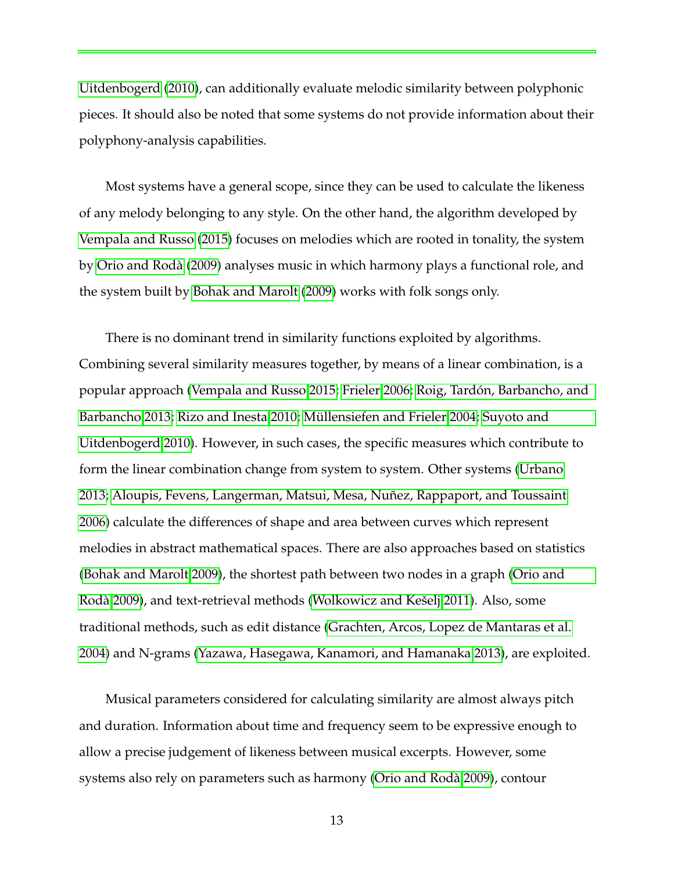[Uitdenbogerd](#page-25-4) [\(2010\)](#page-25-4), can additionally evaluate melodic similarity between polyphonic pieces. It should also be noted that some systems do not provide information about their polyphony-analysis capabilities.

Most systems have a general scope, since they can be used to calculate the likeness of any melody belonging to any style. On the other hand, the algorithm developed by [Vempala and Russo](#page-25-0) [\(2015\)](#page-25-0) focuses on melodies which are rooted in tonality, the system by [Orio and Rodà](#page-24-7) [\(2009\)](#page-24-7) analyses music in which harmony plays a functional role, and the system built by [Bohak and Marolt](#page-22-4) [\(2009\)](#page-22-4) works with folk songs only.

There is no dominant trend in similarity functions exploited by algorithms. Combining several similarity measures together, by means of a linear combination, is a popular approach [\(Vempala and Russo 2015;](#page-25-0) [Frieler 2006;](#page-23-9) [Roig, Tardón, Barbancho, and](#page-24-5) [Barbancho 2013;](#page-24-5) [Rizo and Inesta 2010;](#page-24-9) [Müllensiefen and Frieler 2004;](#page-24-8) [Suyoto and](#page-25-4) [Uitdenbogerd 2010\)](#page-25-4). However, in such cases, the specific measures which contribute to form the linear combination change from system to system. Other systems [\(Urbano](#page-25-2) [2013;](#page-25-2) [Aloupis, Fevens, Langerman, Matsui, Mesa, Nuñez, Rappaport, and Toussaint](#page-22-3) [2006\)](#page-22-3) calculate the differences of shape and area between curves which represent melodies in abstract mathematical spaces. There are also approaches based on statistics [\(Bohak and Marolt 2009\)](#page-22-4), the shortest path between two nodes in a graph [\(Orio and](#page-24-7) [Rodà 2009\)](#page-24-7), and text-retrieval methods [\(Wolkowicz and Kešelj 2011\)](#page-25-3). Also, some traditional methods, such as edit distance [\(Grachten, Arcos, Lopez de Mantaras et al.](#page-23-6) [2004\)](#page-23-6) and N-grams [\(Yazawa, Hasegawa, Kanamori, and Hamanaka 2013\)](#page-25-1), are exploited.

Musical parameters considered for calculating similarity are almost always pitch and duration. Information about time and frequency seem to be expressive enough to allow a precise judgement of likeness between musical excerpts. However, some systems also rely on parameters such as harmony [\(Orio and Rodà 2009\)](#page-24-7), contour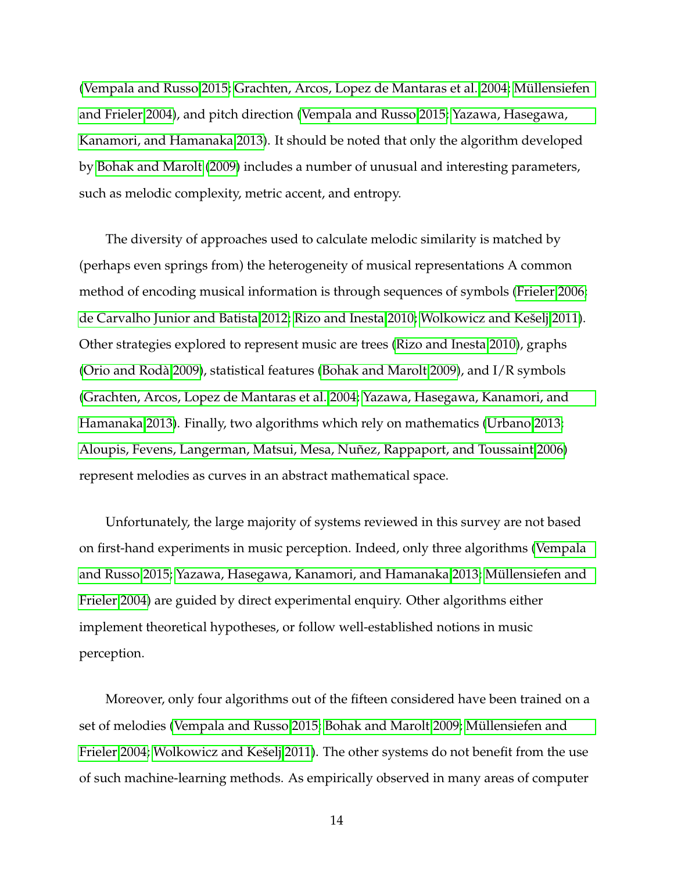[\(Vempala and Russo 2015;](#page-25-0) [Grachten, Arcos, Lopez de Mantaras et al. 2004;](#page-23-6) [Müllensiefen](#page-24-8) [and Frieler 2004\)](#page-24-8), and pitch direction [\(Vempala and Russo 2015;](#page-25-0) [Yazawa, Hasegawa,](#page-25-1) [Kanamori, and Hamanaka 2013\)](#page-25-1). It should be noted that only the algorithm developed by [Bohak and Marolt](#page-22-4) [\(2009\)](#page-22-4) includes a number of unusual and interesting parameters, such as melodic complexity, metric accent, and entropy.

The diversity of approaches used to calculate melodic similarity is matched by (perhaps even springs from) the heterogeneity of musical representations A common method of encoding musical information is through sequences of symbols [\(Frieler 2006;](#page-23-9) [de Carvalho Junior and Batista 2012;](#page-22-1) [Rizo and Inesta 2010;](#page-24-9) [Wolkowicz and Kešelj 2011\)](#page-25-3). Other strategies explored to represent music are trees [\(Rizo and Inesta 2010\)](#page-24-9), graphs [\(Orio and Rodà 2009\)](#page-24-7), statistical features [\(Bohak and Marolt 2009\)](#page-22-4), and I/R symbols [\(Grachten, Arcos, Lopez de Mantaras et al. 2004;](#page-23-6) [Yazawa, Hasegawa, Kanamori, and](#page-25-1) [Hamanaka 2013\)](#page-25-1). Finally, two algorithms which rely on mathematics [\(Urbano 2013;](#page-25-2) [Aloupis, Fevens, Langerman, Matsui, Mesa, Nuñez, Rappaport, and Toussaint 2006\)](#page-22-3) represent melodies as curves in an abstract mathematical space.

Unfortunately, the large majority of systems reviewed in this survey are not based on first-hand experiments in music perception. Indeed, only three algorithms [\(Vempala](#page-25-0) [and Russo 2015;](#page-25-0) [Yazawa, Hasegawa, Kanamori, and Hamanaka 2013;](#page-25-1) [Müllensiefen and](#page-24-8) [Frieler 2004\)](#page-24-8) are guided by direct experimental enquiry. Other algorithms either implement theoretical hypotheses, or follow well-established notions in music perception.

Moreover, only four algorithms out of the fifteen considered have been trained on a set of melodies [\(Vempala and Russo 2015;](#page-25-0) [Bohak and Marolt 2009;](#page-22-4) [Müllensiefen and](#page-24-8) [Frieler 2004;](#page-24-8) [Wolkowicz and Kešelj 2011\)](#page-25-3). The other systems do not benefit from the use of such machine-learning methods. As empirically observed in many areas of computer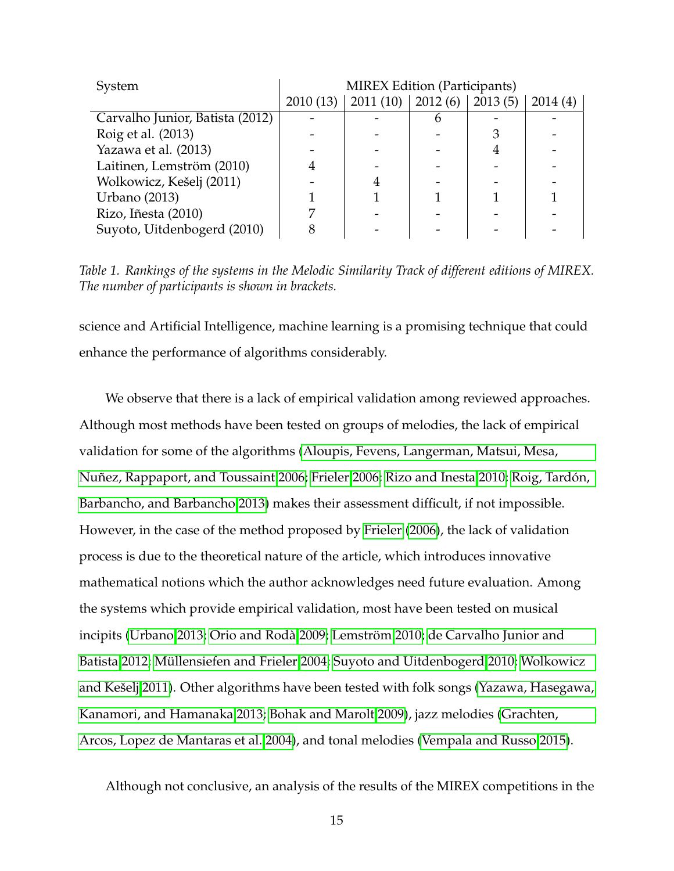<span id="page-15-0"></span>

| System                          | <b>MIREX Edition (Participants)</b> |                                   |   |         |         |  |  |  |
|---------------------------------|-------------------------------------|-----------------------------------|---|---------|---------|--|--|--|
|                                 |                                     | $2010(13)$   2011 (10)   2012 (6) |   | 2013(5) | 2014(4) |  |  |  |
| Carvalho Junior, Batista (2012) |                                     |                                   | n |         |         |  |  |  |
| Roig et al. (2013)              |                                     |                                   |   |         |         |  |  |  |
| Yazawa et al. (2013)            |                                     |                                   |   |         |         |  |  |  |
| Laitinen, Lemström (2010)       |                                     |                                   |   |         |         |  |  |  |
| Wolkowicz, Kešelj (2011)        |                                     |                                   |   |         |         |  |  |  |
| <b>Urbano</b> (2013)            |                                     |                                   |   |         |         |  |  |  |
| Rizo, Iñesta (2010)             |                                     |                                   |   |         |         |  |  |  |
| Suyoto, Uitdenbogerd (2010)     |                                     |                                   |   |         |         |  |  |  |

*Table 1. Rankings of the systems in the Melodic Similarity Track of different editions of MIREX. The number of participants is shown in brackets.*

science and Artificial Intelligence, machine learning is a promising technique that could enhance the performance of algorithms considerably.

We observe that there is a lack of empirical validation among reviewed approaches. Although most methods have been tested on groups of melodies, the lack of empirical validation for some of the algorithms [\(Aloupis, Fevens, Langerman, Matsui, Mesa,](#page-22-3) [Nuñez, Rappaport, and Toussaint 2006;](#page-22-3) [Frieler 2006;](#page-23-9) [Rizo and Inesta 2010;](#page-24-9) [Roig, Tardón,](#page-24-5) [Barbancho, and Barbancho 2013\)](#page-24-5) makes their assessment difficult, if not impossible. However, in the case of the method proposed by [Frieler](#page-23-9) [\(2006\)](#page-23-9), the lack of validation process is due to the theoretical nature of the article, which introduces innovative mathematical notions which the author acknowledges need future evaluation. Among the systems which provide empirical validation, most have been tested on musical incipits [\(Urbano 2013;](#page-25-2) [Orio and Rodà 2009;](#page-24-7) [Lemström 2010;](#page-23-7) [de Carvalho Junior and](#page-22-1) [Batista 2012;](#page-22-1) [Müllensiefen and Frieler 2004;](#page-24-8) [Suyoto and Uitdenbogerd 2010;](#page-25-4) [Wolkowicz](#page-25-3) [and Kešelj 2011\)](#page-25-3). Other algorithms have been tested with folk songs [\(Yazawa, Hasegawa,](#page-25-1) [Kanamori, and Hamanaka 2013;](#page-25-1) [Bohak and Marolt 2009\)](#page-22-4), jazz melodies [\(Grachten,](#page-23-6) [Arcos, Lopez de Mantaras et al. 2004\)](#page-23-6), and tonal melodies [\(Vempala and Russo 2015\)](#page-25-0).

Although not conclusive, an analysis of the results of the MIREX competitions in the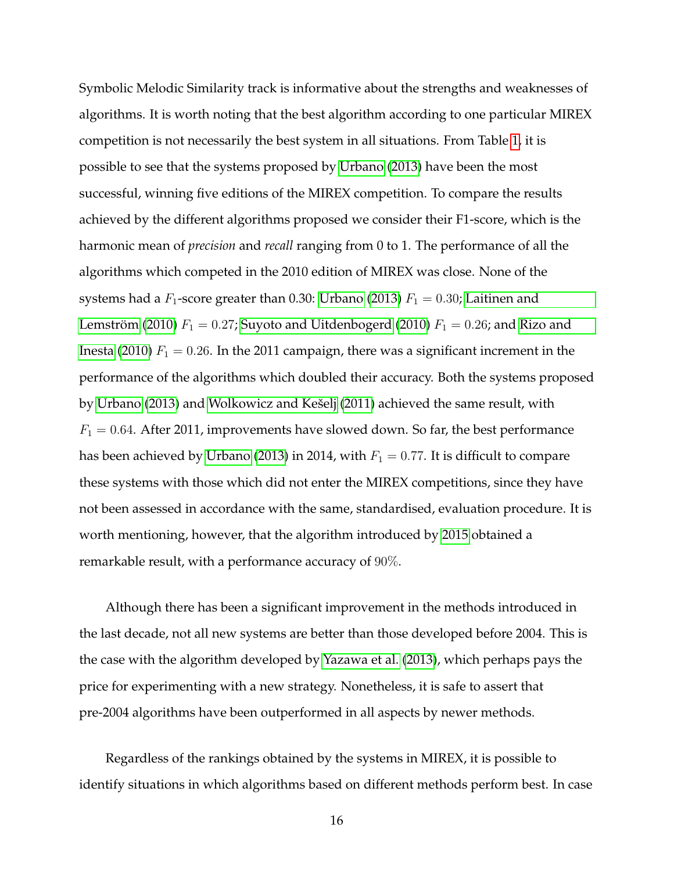Symbolic Melodic Similarity track is informative about the strengths and weaknesses of algorithms. It is worth noting that the best algorithm according to one particular MIREX competition is not necessarily the best system in all situations. From Table [1,](#page-15-0) it is possible to see that the systems proposed by [Urbano](#page-25-2) [\(2013\)](#page-25-2) have been the most successful, winning five editions of the MIREX competition. To compare the results achieved by the different algorithms proposed we consider their F1-score, which is the harmonic mean of *precision* and *recall* ranging from 0 to 1. The performance of all the algorithms which competed in the 2010 edition of MIREX was close. None of the systems had a  $F_1$ -score greater than 0.30: [Urbano](#page-25-2) [\(2013\)](#page-25-2)  $F_1 = 0.30$ ; [Laitinen and](#page-23-8) [Lemström](#page-23-8) [\(2010\)](#page-25-4)  $F_1 = 0.27$ ; [Suyoto and Uitdenbogerd](#page-25-4) (2010)  $F_1 = 0.26$ ; and [Rizo and](#page-24-9) [Inesta](#page-24-9) [\(2010\)](#page-24-9)  $F_1 = 0.26$ . In the 2011 campaign, there was a significant increment in the performance of the algorithms which doubled their accuracy. Both the systems proposed by [Urbano](#page-25-2) [\(2013\)](#page-25-2) and [Wolkowicz and Kešelj](#page-25-3) [\(2011\)](#page-25-3) achieved the same result, with  $F_1 = 0.64$ . After 2011, improvements have slowed down. So far, the best performance has been achieved by [Urbano](#page-25-2) [\(2013\)](#page-25-2) in 2014, with  $F_1 = 0.77$ . It is difficult to compare these systems with those which did not enter the MIREX competitions, since they have not been assessed in accordance with the same, standardised, evaluation procedure. It is worth mentioning, however, that the algorithm introduced by [2015](#page-25-0) obtained a remarkable result, with a performance accuracy of 90%.

Although there has been a significant improvement in the methods introduced in the last decade, not all new systems are better than those developed before 2004. This is the case with the algorithm developed by [Yazawa et al.](#page-25-1) [\(2013\)](#page-25-1), which perhaps pays the price for experimenting with a new strategy. Nonetheless, it is safe to assert that pre-2004 algorithms have been outperformed in all aspects by newer methods.

Regardless of the rankings obtained by the systems in MIREX, it is possible to identify situations in which algorithms based on different methods perform best. In case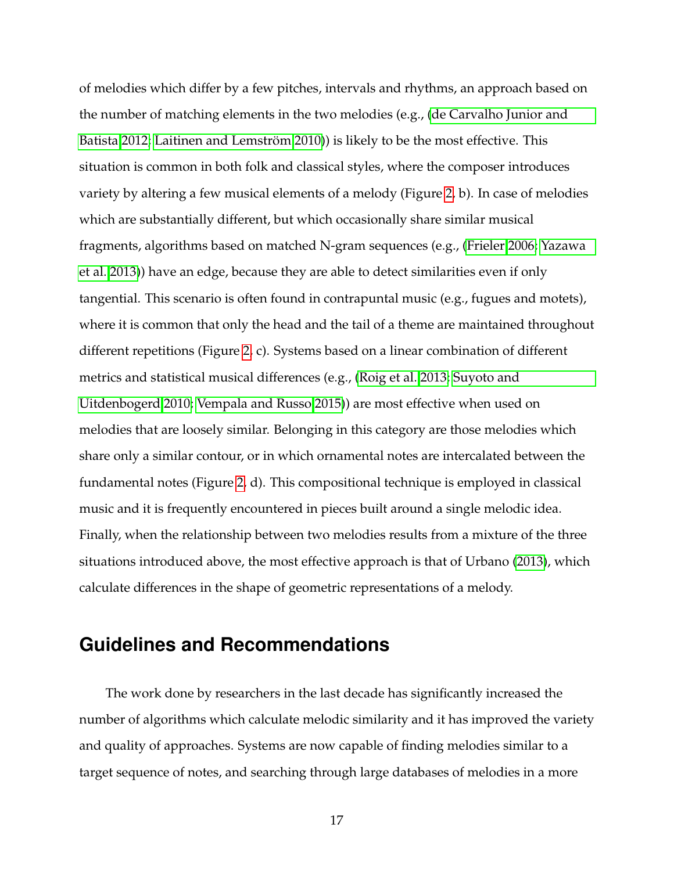of melodies which differ by a few pitches, intervals and rhythms, an approach based on the number of matching elements in the two melodies (e.g., [\(de Carvalho Junior and](#page-22-1) [Batista 2012;](#page-22-1) [Laitinen and Lemström 2010\)](#page-23-8)) is likely to be the most effective. This situation is common in both folk and classical styles, where the composer introduces variety by altering a few musical elements of a melody (Figure [2,](#page-18-0) b). In case of melodies which are substantially different, but which occasionally share similar musical fragments, algorithms based on matched N-gram sequences (e.g., [\(Frieler 2006;](#page-23-9) [Yazawa](#page-25-1) [et al. 2013\)](#page-25-1)) have an edge, because they are able to detect similarities even if only tangential. This scenario is often found in contrapuntal music (e.g., fugues and motets), where it is common that only the head and the tail of a theme are maintained throughout different repetitions (Figure [2,](#page-18-0) c). Systems based on a linear combination of different metrics and statistical musical differences (e.g., [\(Roig et al. 2013;](#page-24-5) [Suyoto and](#page-25-4) [Uitdenbogerd 2010;](#page-25-4) [Vempala and Russo 2015\)](#page-25-0)) are most effective when used on melodies that are loosely similar. Belonging in this category are those melodies which share only a similar contour, or in which ornamental notes are intercalated between the fundamental notes (Figure [2,](#page-18-0) d). This compositional technique is employed in classical music and it is frequently encountered in pieces built around a single melodic idea. Finally, when the relationship between two melodies results from a mixture of the three situations introduced above, the most effective approach is that of Urbano [\(2013\)](#page-25-2), which calculate differences in the shape of geometric representations of a melody.

# **Guidelines and Recommendations**

The work done by researchers in the last decade has significantly increased the number of algorithms which calculate melodic similarity and it has improved the variety and quality of approaches. Systems are now capable of finding melodies similar to a target sequence of notes, and searching through large databases of melodies in a more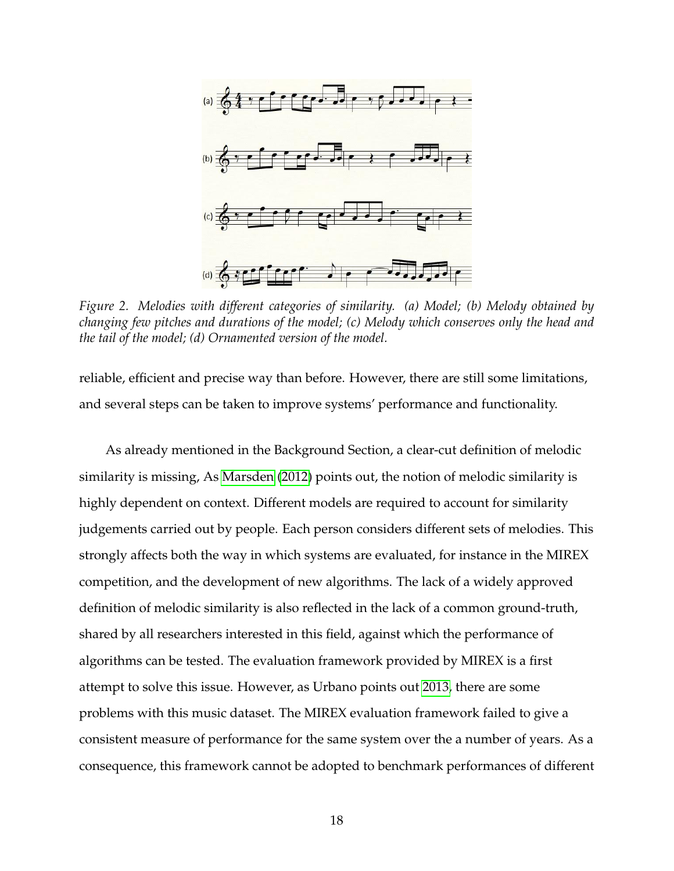<span id="page-18-0"></span>

*Figure 2. Melodies with different categories of similarity. (a) Model; (b) Melody obtained by changing few pitches and durations of the model; (c) Melody which conserves only the head and the tail of the model; (d) Ornamented version of the model.*

reliable, efficient and precise way than before. However, there are still some limitations, and several steps can be taken to improve systems' performance and functionality.

As already mentioned in the Background Section, a clear-cut definition of melodic similarity is missing, As [Marsden](#page-24-10) [\(2012\)](#page-24-10) points out, the notion of melodic similarity is highly dependent on context. Different models are required to account for similarity judgements carried out by people. Each person considers different sets of melodies. This strongly affects both the way in which systems are evaluated, for instance in the MIREX competition, and the development of new algorithms. The lack of a widely approved definition of melodic similarity is also reflected in the lack of a common ground-truth, shared by all researchers interested in this field, against which the performance of algorithms can be tested. The evaluation framework provided by MIREX is a first attempt to solve this issue. However, as Urbano points out [2013,](#page-25-2) there are some problems with this music dataset. The MIREX evaluation framework failed to give a consistent measure of performance for the same system over the a number of years. As a consequence, this framework cannot be adopted to benchmark performances of different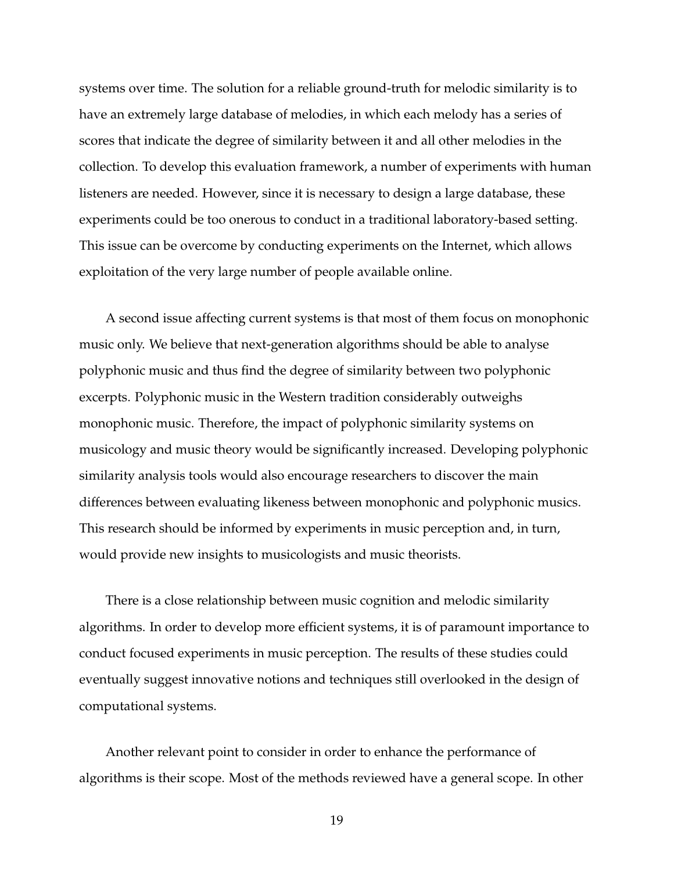systems over time. The solution for a reliable ground-truth for melodic similarity is to have an extremely large database of melodies, in which each melody has a series of scores that indicate the degree of similarity between it and all other melodies in the collection. To develop this evaluation framework, a number of experiments with human listeners are needed. However, since it is necessary to design a large database, these experiments could be too onerous to conduct in a traditional laboratory-based setting. This issue can be overcome by conducting experiments on the Internet, which allows exploitation of the very large number of people available online.

A second issue affecting current systems is that most of them focus on monophonic music only. We believe that next-generation algorithms should be able to analyse polyphonic music and thus find the degree of similarity between two polyphonic excerpts. Polyphonic music in the Western tradition considerably outweighs monophonic music. Therefore, the impact of polyphonic similarity systems on musicology and music theory would be significantly increased. Developing polyphonic similarity analysis tools would also encourage researchers to discover the main differences between evaluating likeness between monophonic and polyphonic musics. This research should be informed by experiments in music perception and, in turn, would provide new insights to musicologists and music theorists.

There is a close relationship between music cognition and melodic similarity algorithms. In order to develop more efficient systems, it is of paramount importance to conduct focused experiments in music perception. The results of these studies could eventually suggest innovative notions and techniques still overlooked in the design of computational systems.

Another relevant point to consider in order to enhance the performance of algorithms is their scope. Most of the methods reviewed have a general scope. In other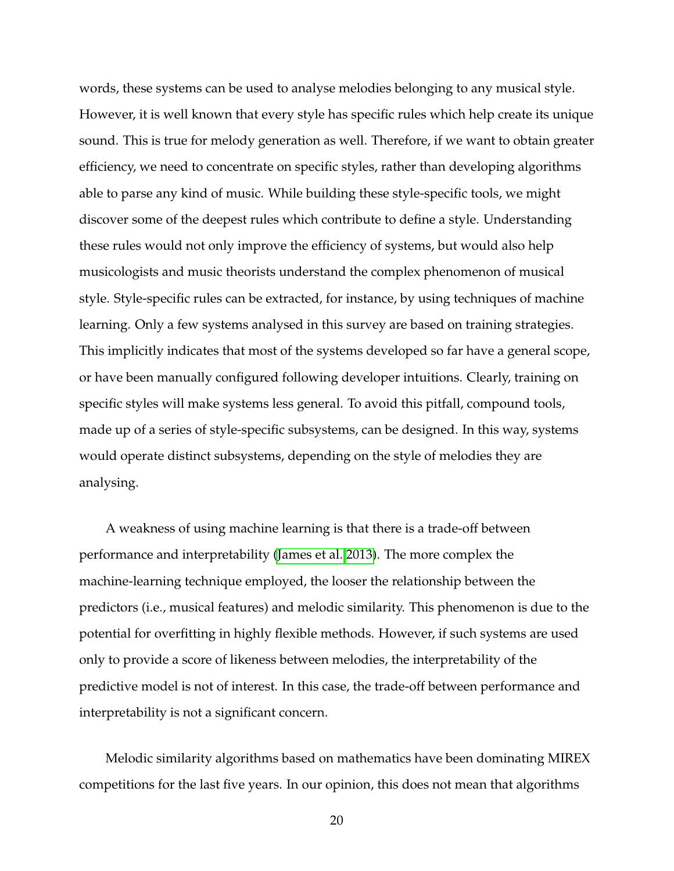words, these systems can be used to analyse melodies belonging to any musical style. However, it is well known that every style has specific rules which help create its unique sound. This is true for melody generation as well. Therefore, if we want to obtain greater efficiency, we need to concentrate on specific styles, rather than developing algorithms able to parse any kind of music. While building these style-specific tools, we might discover some of the deepest rules which contribute to define a style. Understanding these rules would not only improve the efficiency of systems, but would also help musicologists and music theorists understand the complex phenomenon of musical style. Style-specific rules can be extracted, for instance, by using techniques of machine learning. Only a few systems analysed in this survey are based on training strategies. This implicitly indicates that most of the systems developed so far have a general scope, or have been manually configured following developer intuitions. Clearly, training on specific styles will make systems less general. To avoid this pitfall, compound tools, made up of a series of style-specific subsystems, can be designed. In this way, systems would operate distinct subsystems, depending on the style of melodies they are analysing.

A weakness of using machine learning is that there is a trade-off between performance and interpretability [\(James et al. 2013\)](#page-23-11). The more complex the machine-learning technique employed, the looser the relationship between the predictors (i.e., musical features) and melodic similarity. This phenomenon is due to the potential for overfitting in highly flexible methods. However, if such systems are used only to provide a score of likeness between melodies, the interpretability of the predictive model is not of interest. In this case, the trade-off between performance and interpretability is not a significant concern.

Melodic similarity algorithms based on mathematics have been dominating MIREX competitions for the last five years. In our opinion, this does not mean that algorithms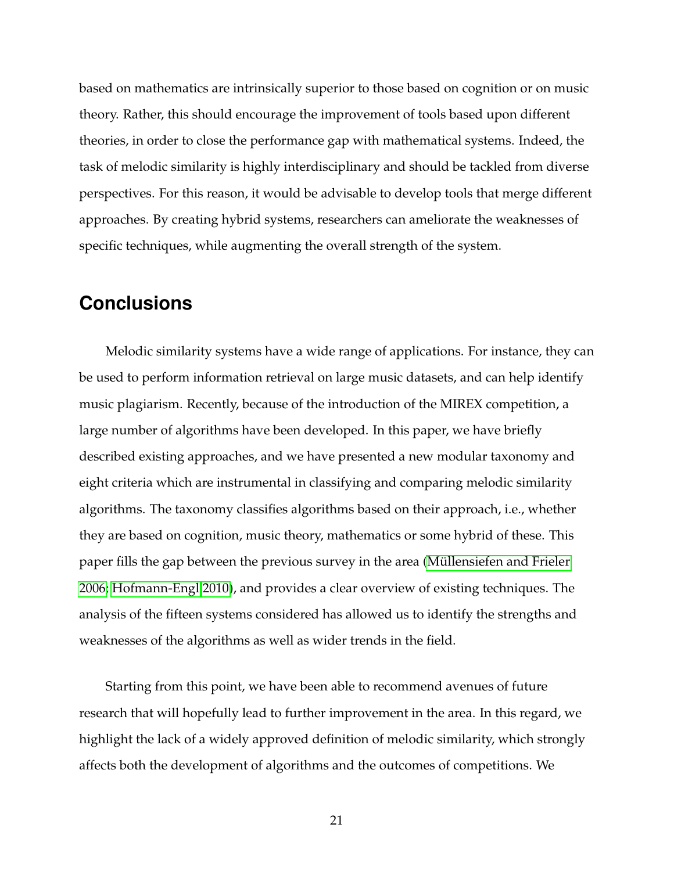based on mathematics are intrinsically superior to those based on cognition or on music theory. Rather, this should encourage the improvement of tools based upon different theories, in order to close the performance gap with mathematical systems. Indeed, the task of melodic similarity is highly interdisciplinary and should be tackled from diverse perspectives. For this reason, it would be advisable to develop tools that merge different approaches. By creating hybrid systems, researchers can ameliorate the weaknesses of specific techniques, while augmenting the overall strength of the system.

# **Conclusions**

Melodic similarity systems have a wide range of applications. For instance, they can be used to perform information retrieval on large music datasets, and can help identify music plagiarism. Recently, because of the introduction of the MIREX competition, a large number of algorithms have been developed. In this paper, we have briefly described existing approaches, and we have presented a new modular taxonomy and eight criteria which are instrumental in classifying and comparing melodic similarity algorithms. The taxonomy classifies algorithms based on their approach, i.e., whether they are based on cognition, music theory, mathematics or some hybrid of these. This paper fills the gap between the previous survey in the area [\(Müllensiefen and Frieler](#page-24-0) [2006;](#page-24-0) [Hofmann-Engl 2010\)](#page-23-1), and provides a clear overview of existing techniques. The analysis of the fifteen systems considered has allowed us to identify the strengths and weaknesses of the algorithms as well as wider trends in the field.

Starting from this point, we have been able to recommend avenues of future research that will hopefully lead to further improvement in the area. In this regard, we highlight the lack of a widely approved definition of melodic similarity, which strongly affects both the development of algorithms and the outcomes of competitions. We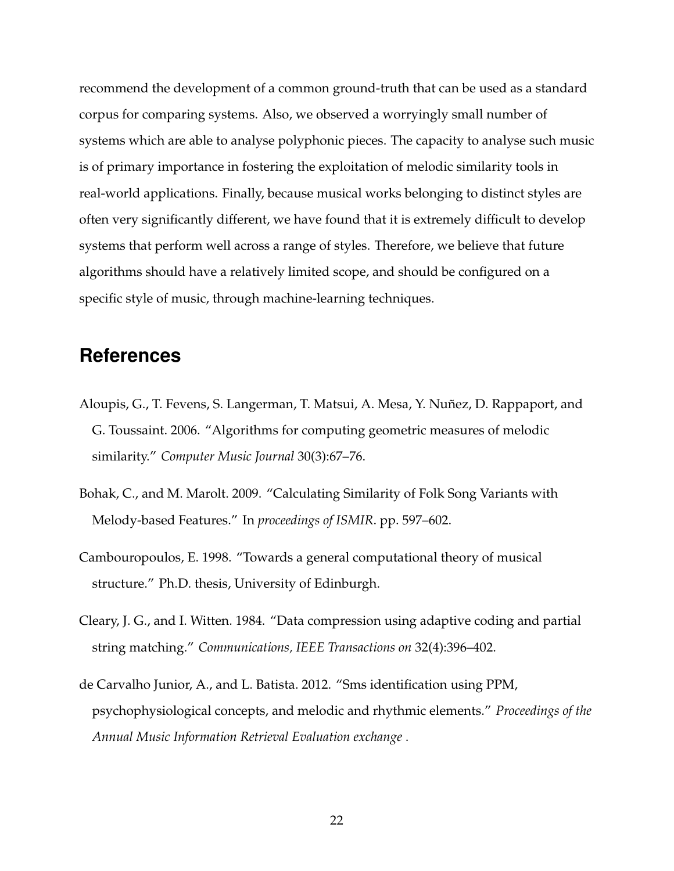recommend the development of a common ground-truth that can be used as a standard corpus for comparing systems. Also, we observed a worryingly small number of systems which are able to analyse polyphonic pieces. The capacity to analyse such music is of primary importance in fostering the exploitation of melodic similarity tools in real-world applications. Finally, because musical works belonging to distinct styles are often very significantly different, we have found that it is extremely difficult to develop systems that perform well across a range of styles. Therefore, we believe that future algorithms should have a relatively limited scope, and should be configured on a specific style of music, through machine-learning techniques.

# **References**

- <span id="page-22-3"></span>Aloupis, G., T. Fevens, S. Langerman, T. Matsui, A. Mesa, Y. Nuñez, D. Rappaport, and G. Toussaint. 2006. "Algorithms for computing geometric measures of melodic similarity." *Computer Music Journal* 30(3):67–76.
- <span id="page-22-4"></span>Bohak, C., and M. Marolt. 2009. "Calculating Similarity of Folk Song Variants with Melody-based Features." In *proceedings of ISMIR*. pp. 597–602.
- <span id="page-22-0"></span>Cambouropoulos, E. 1998. "Towards a general computational theory of musical structure." Ph.D. thesis, University of Edinburgh.
- <span id="page-22-2"></span>Cleary, J. G., and I. Witten. 1984. "Data compression using adaptive coding and partial string matching." *Communications, IEEE Transactions on* 32(4):396–402.
- <span id="page-22-1"></span>de Carvalho Junior, A., and L. Batista. 2012. "Sms identification using PPM, psychophysiological concepts, and melodic and rhythmic elements." *Proceedings of the Annual Music Information Retrieval Evaluation exchange* .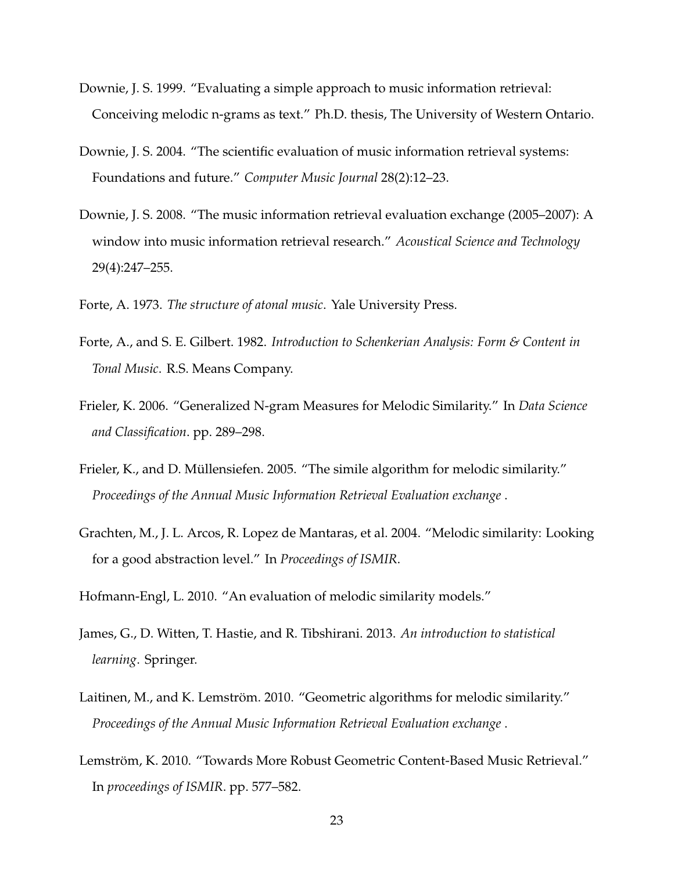- <span id="page-23-3"></span>Downie, J. S. 1999. "Evaluating a simple approach to music information retrieval: Conceiving melodic n-grams as text." Ph.D. thesis, The University of Western Ontario.
- <span id="page-23-2"></span>Downie, J. S. 2004. "The scientific evaluation of music information retrieval systems: Foundations and future." *Computer Music Journal* 28(2):12–23.
- <span id="page-23-0"></span>Downie, J. S. 2008. "The music information retrieval evaluation exchange (2005–2007): A window into music information retrieval research." *Acoustical Science and Technology* 29(4):247–255.

<span id="page-23-4"></span>Forte, A. 1973. *The structure of atonal music*. Yale University Press.

- <span id="page-23-5"></span>Forte, A., and S. E. Gilbert. 1982. *Introduction to Schenkerian Analysis: Form & Content in Tonal Music*. R.S. Means Company.
- <span id="page-23-9"></span>Frieler, K. 2006. "Generalized N-gram Measures for Melodic Similarity." In *Data Science and Classification*. pp. 289–298.
- <span id="page-23-10"></span>Frieler, K., and D. Müllensiefen. 2005. "The simile algorithm for melodic similarity." *Proceedings of the Annual Music Information Retrieval Evaluation exchange* .
- <span id="page-23-6"></span>Grachten, M., J. L. Arcos, R. Lopez de Mantaras, et al. 2004. "Melodic similarity: Looking for a good abstraction level." In *Proceedings of ISMIR*.
- <span id="page-23-1"></span>Hofmann-Engl, L. 2010. "An evaluation of melodic similarity models."
- <span id="page-23-11"></span>James, G., D. Witten, T. Hastie, and R. Tibshirani. 2013. *An introduction to statistical learning*. Springer.
- <span id="page-23-8"></span>Laitinen, M., and K. Lemström. 2010. "Geometric algorithms for melodic similarity." *Proceedings of the Annual Music Information Retrieval Evaluation exchange* .
- <span id="page-23-7"></span>Lemström, K. 2010. "Towards More Robust Geometric Content-Based Music Retrieval." In *proceedings of ISMIR*. pp. 577–582.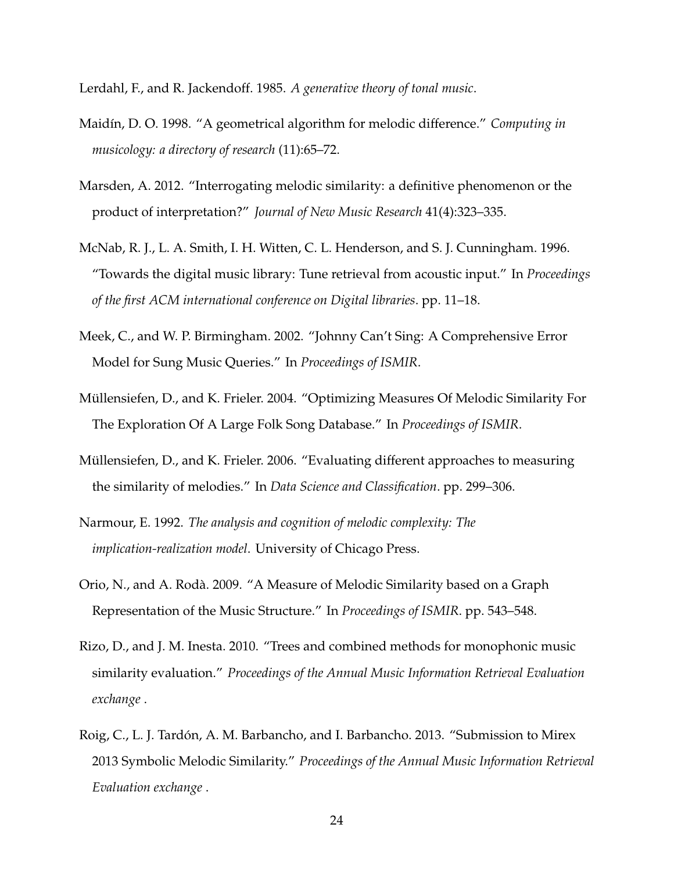<span id="page-24-4"></span>Lerdahl, F., and R. Jackendoff. 1985. *A generative theory of tonal music*.

- <span id="page-24-2"></span>Maidín, D. O. 1998. "A geometrical algorithm for melodic difference." *Computing in musicology: a directory of research* (11):65–72.
- <span id="page-24-10"></span>Marsden, A. 2012. "Interrogating melodic similarity: a definitive phenomenon or the product of interpretation?" *Journal of New Music Research* 41(4):323–335.
- <span id="page-24-1"></span>McNab, R. J., L. A. Smith, I. H. Witten, C. L. Henderson, and S. J. Cunningham. 1996. "Towards the digital music library: Tune retrieval from acoustic input." In *Proceedings of the first ACM international conference on Digital libraries*. pp. 11–18.
- <span id="page-24-3"></span>Meek, C., and W. P. Birmingham. 2002. "Johnny Can't Sing: A Comprehensive Error Model for Sung Music Queries." In *Proceedings of ISMIR*.
- <span id="page-24-8"></span>Müllensiefen, D., and K. Frieler. 2004. "Optimizing Measures Of Melodic Similarity For The Exploration Of A Large Folk Song Database." In *Proceedings of ISMIR*.
- <span id="page-24-0"></span>Müllensiefen, D., and K. Frieler. 2006. "Evaluating different approaches to measuring the similarity of melodies." In *Data Science and Classification*. pp. 299–306.
- <span id="page-24-6"></span>Narmour, E. 1992. *The analysis and cognition of melodic complexity: The implication-realization model*. University of Chicago Press.
- <span id="page-24-7"></span>Orio, N., and A. Rodà. 2009. "A Measure of Melodic Similarity based on a Graph Representation of the Music Structure." In *Proceedings of ISMIR*. pp. 543–548.
- <span id="page-24-9"></span>Rizo, D., and J. M. Inesta. 2010. "Trees and combined methods for monophonic music similarity evaluation." *Proceedings of the Annual Music Information Retrieval Evaluation exchange* .
- <span id="page-24-5"></span>Roig, C., L. J. Tardón, A. M. Barbancho, and I. Barbancho. 2013. "Submission to Mirex 2013 Symbolic Melodic Similarity." *Proceedings of the Annual Music Information Retrieval Evaluation exchange* .